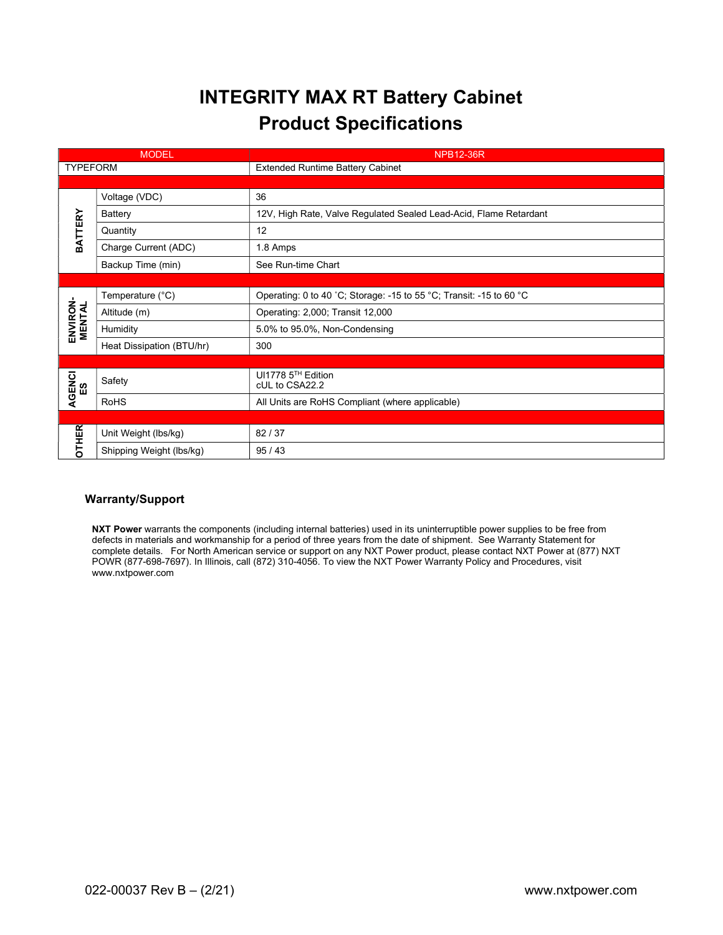## INTEGRITY MAX RT Battery Cabinet Product Specifications

| <b>MODEL</b>       |                           | <b>NPB12-36R</b>                                                    |  |  |  |
|--------------------|---------------------------|---------------------------------------------------------------------|--|--|--|
| <b>TYPEFORM</b>    |                           | <b>Extended Runtime Battery Cabinet</b>                             |  |  |  |
|                    |                           |                                                                     |  |  |  |
| <b>BATTERY</b>     | Voltage (VDC)             | 36                                                                  |  |  |  |
|                    | Battery                   | 12V, High Rate, Valve Regulated Sealed Lead-Acid, Flame Retardant   |  |  |  |
|                    | Quantity                  | 12                                                                  |  |  |  |
|                    | Charge Current (ADC)      | 1.8 Amps                                                            |  |  |  |
|                    | Backup Time (min)         | See Run-time Chart                                                  |  |  |  |
|                    |                           |                                                                     |  |  |  |
| ENVIRON-<br>MENTAL | Temperature (°C)          | Operating: 0 to 40 °C; Storage: -15 to 55 °C; Transit: -15 to 60 °C |  |  |  |
|                    | Altitude (m)              | Operating: 2,000; Transit 12,000                                    |  |  |  |
|                    | Humidity                  | 5.0% to 95.0%, Non-Condensing                                       |  |  |  |
|                    | Heat Dissipation (BTU/hr) | 300                                                                 |  |  |  |
|                    |                           |                                                                     |  |  |  |
| AGENCI<br>ES       | Safety                    | UI1778 5TH Edition<br>cUL to CSA22.2                                |  |  |  |
|                    | <b>RoHS</b>               | All Units are RoHS Compliant (where applicable)                     |  |  |  |
|                    |                           |                                                                     |  |  |  |
| <b>OTHER</b>       | Unit Weight (lbs/kg)      | 82 / 37                                                             |  |  |  |
|                    | Shipping Weight (lbs/kg)  | 95/43                                                               |  |  |  |

## Warranty/Support

NXT Power warrants the components (including internal batteries) used in its uninterruptible power supplies to be free from defects in materials and workmanship for a period of three years from the date of shipment. See Warranty Statement for complete details. For North American service or support on any NXT Power product, please contact NXT Power at (877) NXT POWR (877-698-7697). In Illinois, call (872) 310-4056. To view the NXT Power Warranty Policy and Procedures, visit www.nxtpower.com